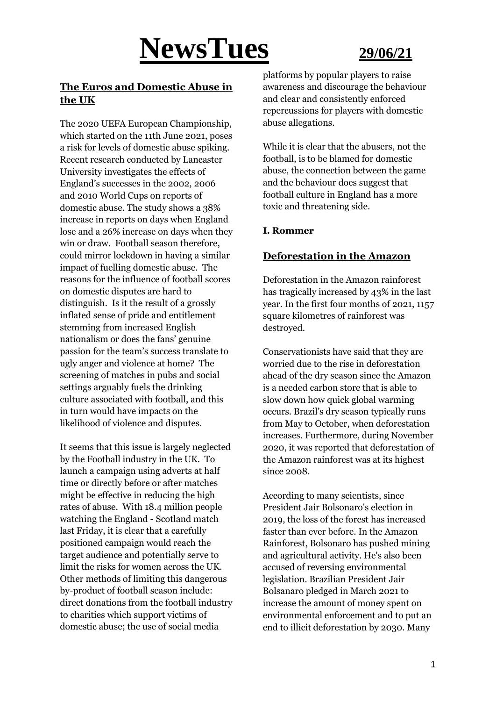## **NewsTues 29/06/21**

#### **The Euros and Domestic Abuse in the UK**

The 2020 UEFA European Championship, which started on the 11th June 2021, poses a risk for levels of domestic abuse spiking. Recent research conducted by Lancaster University investigates the effects of England's successes in the 2002, 2006 and 2010 World Cups on reports of domestic abuse. The study shows a 38% increase in reports on days when England lose and a 26% increase on days when they win or draw. Football season therefore, could mirror lockdown in having a similar impact of fuelling domestic abuse. The reasons for the influence of football scores on domestic disputes are hard to distinguish. Is it the result of a grossly inflated sense of pride and entitlement stemming from increased English nationalism or does the fans' genuine passion for the team's success translate to ugly anger and violence at home? The screening of matches in pubs and social settings arguably fuels the drinking culture associated with football, and this in turn would have impacts on the likelihood of violence and disputes.

It seems that this issue is largely neglected by the Football industry in the UK. To launch a campaign using adverts at half time or directly before or after matches might be effective in reducing the high rates of abuse. With 18.4 million people watching the England - Scotland match last Friday, it is clear that a carefully positioned campaign would reach the target audience and potentially serve to limit the risks for women across the UK. Other methods of limiting this dangerous by-product of football season include: direct donations from the football industry to charities which support victims of domestic abuse; the use of social media

platforms by popular players to raise awareness and discourage the behaviour and clear and consistently enforced repercussions for players with domestic abuse allegations.

While it is clear that the abusers, not the football, is to be blamed for domestic abuse, the connection between the game and the behaviour does suggest that football culture in England has a more toxic and threatening side.

#### **I. Rommer**

#### **Deforestation in the Amazon**

Deforestation in the Amazon rainforest has tragically increased by 43% in the last year. In the first four months of 2021, 1157 square kilometres of rainforest was destroyed.

Conservationists have said that they are worried due to the rise in deforestation ahead of the dry season since the Amazon is a needed carbon store that is able to slow down how quick global warming occurs. Brazil's dry season typically runs from May to October, when deforestation increases. Furthermore, during November 2020, it was reported that deforestation of the Amazon rainforest was at its highest since 2008.

According to many scientists, since President Jair Bolsonaro's election in 2019, the loss of the forest has increased faster than ever before. In the Amazon Rainforest, Bolsonaro has pushed mining and agricultural activity. He's also been accused of reversing environmental legislation. Brazilian President Jair Bolsanaro pledged in March 2021 to increase the amount of money spent on environmental enforcement and to put an end to illicit deforestation by 2030. Many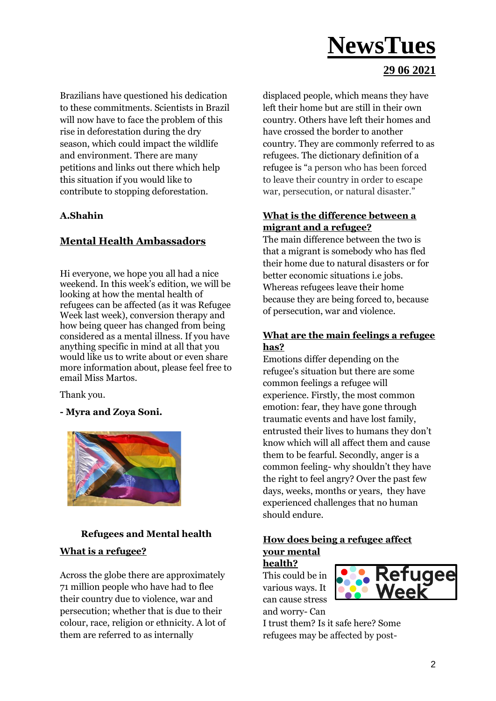#### **29 06 2021**

Brazilians have questioned his dedication to these commitments. Scientists in Brazil will now have to face the problem of this rise in deforestation during the dry season, which could impact the wildlife and environment. There are many petitions and links out there which help this situation if you would like to contribute to stopping deforestation.

#### **A.Shahin**

#### **Mental Health Ambassadors**

Hi everyone, we hope you all had a nice weekend. In this week's edition, we will be looking at how the mental health of refugees can be affected (as it was Refugee Week last week), conversion therapy and how being queer has changed from being considered as a mental illness. If you have anything specific in mind at all that you would like us to write about or even share more information about, please feel free to email Miss Martos.

Thank you.

**- Myra and Zoya Soni.**



#### **Refugees and Mental health**

#### **What is a refugee?**

Across the globe there are approximately 71 million people who have had to flee their country due to violence, war and persecution; whether that is due to their colour, race, religion or ethnicity. A lot of them are referred to as internally

displaced people, which means they have left their home but are still in their own country. Others have left their homes and have crossed the border to another country. They are commonly referred to as refugees. The dictionary definition of a refugee is "a person who has been forced to leave their country in order to escape war, persecution, or natural disaster."

#### **What is the difference between a migrant and a refugee?**

The main difference between the two is that a migrant is somebody who has fled their home due to natural disasters or for better economic situations i.e jobs. Whereas refugees leave their home because they are being forced to, because of persecution, war and violence.

#### **What are the main feelings a refugee has?**

Emotions differ depending on the refugee's situation but there are some common feelings a refugee will experience. Firstly, the most common emotion: fear, they have gone through traumatic events and have lost family, entrusted their lives to humans they don't know which will all affect them and cause them to be fearful. Secondly, anger is a common feeling- why shouldn't they have the right to feel angry? Over the past few days, weeks, months or years, they have experienced challenges that no human should endure.

#### **How does being a refugee affect your mental**

**health?** This could be in various ways. It can cause stress and worry- Can



I trust them? Is it safe here? Some refugees may be affected by post-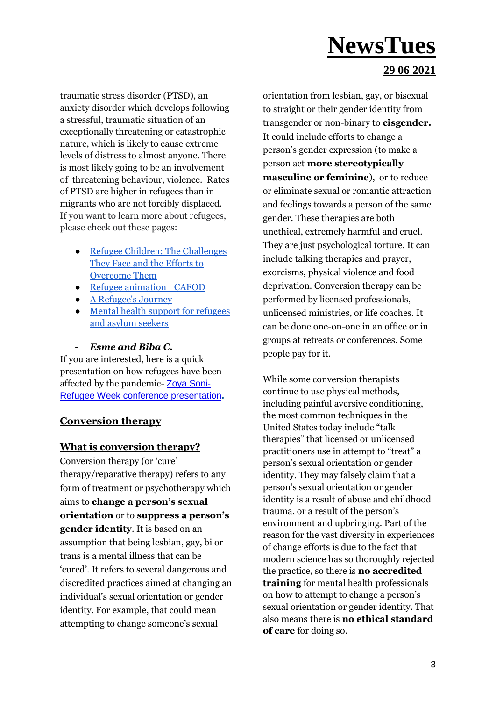#### **29 06 2021**

traumatic stress disorder (PTSD), an anxiety disorder which develops following a stressful, traumatic situation of an exceptionally threatening or catastrophic nature, which is likely to cause extreme levels of distress to almost anyone. There is most likely going to be an involvement of threatening behaviour, violence. Rates of PTSD are higher in refugees than in migrants who are not forcibly displaced. If you want to learn more about refugees, please check out these pages:

- [Refugee Children: The Challenges](https://djilp.org/refugee-children-the-challenges-they-face-and-the-efforts-to-overcome-them/)  [They Face and the Efforts to](https://djilp.org/refugee-children-the-challenges-they-face-and-the-efforts-to-overcome-them/)  [Overcome Them](https://djilp.org/refugee-children-the-challenges-they-face-and-the-efforts-to-overcome-them/)
- [Refugee animation | CAFOD](https://www.youtube.com/watch?v=o_P9huLYmS0)
- [A Refugee's Journey](https://www.youtube.com/watch?v=RgyqLIEx9Ss)
- Mental health support for refugees [and asylum seekers](https://www.refugeecouncil.org.uk/our-work/mental-health-support-for-refugees-and-asylum-seekers/)

#### - *Esme and Biba C.*

If you are interested, here is a quick presentation on how refugees have been affected by the pandemic- [Zoya Soni-](https://docs.google.com/presentation/d/1WCEvmUyfvcHroIAJ450QOkNgPzp7z_Kv-Z7P-XUhxNA/edit#slide=id.ge1d13afc7a_0_148)[Refugee Week conference presentation](https://docs.google.com/presentation/d/1WCEvmUyfvcHroIAJ450QOkNgPzp7z_Kv-Z7P-XUhxNA/edit#slide=id.ge1d13afc7a_0_148)**.**

#### **Conversion therapy**

#### **What is conversion therapy?**

Conversion therapy (or 'cure' therapy/reparative therapy) refers to any form of treatment or psychotherapy which aims to **change a person's sexual orientation** or to **suppress a person's gender identity**. It is based on an assumption that being lesbian, gay, bi or trans is a mental illness that can be 'cured'. It refers to several dangerous and discredited practices aimed at changing an individual's sexual orientation or gender identity. For example, that could mean attempting to change someone's sexual

orientation from lesbian, gay, or bisexual to straight or their gender identity from transgender or non-binary to **cisgender.** It could include efforts to change a person's gender expression (to make a person act **more stereotypically masculine or feminine**), or to reduce or eliminate sexual or romantic attraction and feelings towards a person of the same gender. These therapies are both unethical, extremely harmful and cruel. They are just psychological torture. It can include talking therapies and prayer, exorcisms, physical violence and food deprivation. Conversion therapy can be performed by licensed professionals, unlicensed ministries, or life coaches. It can be done one-on-one in an office or in groups at retreats or conferences. Some people pay for it.

While some conversion therapists continue to use physical methods, including painful aversive conditioning, the most common techniques in the United States today include "talk therapies" that licensed or unlicensed practitioners use in attempt to "treat" a person's sexual orientation or gender identity. They may falsely claim that a person's sexual orientation or gender identity is a result of abuse and childhood trauma, or a result of the person's environment and upbringing. Part of the reason for the vast diversity in experiences of change efforts is due to the fact that modern science has so thoroughly rejected the practice, so there is **no accredited training** for mental health professionals on how to attempt to change a person's sexual orientation or gender identity. That also means there is **no ethical standard of care** for doing so.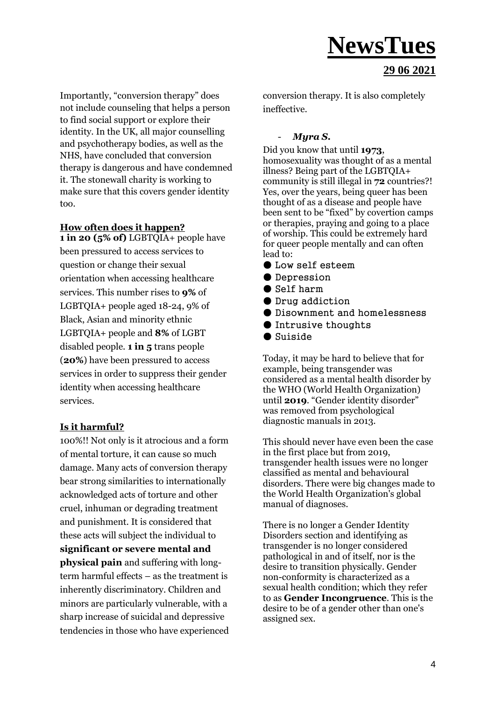#### **29 06 2021**

Importantly, "conversion therapy" does not include counseling that helps a person to find social support or explore their identity. In the UK, all major counselling and psychotherapy bodies, as well as the NHS, have concluded that conversion therapy is dangerous and have condemned it. The stonewall charity is working to make sure that this covers gender identity too.

#### **How often does it happen?**

**1 in 20 (5% of)** LGBTQIA+ people have been pressured to access services to question or change their sexual orientation when accessing healthcare services. This number rises to **9%** of LGBTQIA+ people aged 18-24, 9% of Black, Asian and minority ethnic LGBTQIA+ people and **8%** of LGBT disabled people. **1 in 5** trans people (**20%**) have been pressured to access services in order to suppress their gender identity when accessing healthcare services.

#### **Is it harmful?**

100%!! Not only is it atrocious and a form of mental torture, it can cause so much damage. Many acts of conversion therapy bear strong similarities to internationally acknowledged acts of torture and other cruel, inhuman or degrading treatment and punishment. It is considered that these acts will subject the individual to **significant or severe mental and physical pain** and suffering with longterm harmful effects – as the treatment is inherently discriminatory. Children and minors are particularly vulnerable, with a sharp increase of suicidal and depressive tendencies in those who have experienced conversion therapy. It is also completely ineffective.

#### - *Myra S.*

Did you know that until **1973**, homosexuality was thought of as a mental illness? Being part of the LGBTQIA+ community is still illegal in **72** countries?! Yes, over the years, being queer has been thought of as a disease and people have been sent to be "fixed" by covertion camps or therapies, praying and going to a place of worship. This could be extremely hard for queer people mentally and can often lead to:

- Low self esteem
- Depression
- Self harm
- Drug addiction
- Disownment and homelessness
- Intrusive thoughts
- Suiside

Today, it may be hard to believe that for example, being transgender was considered as a mental health disorder by the WHO (World Health Organization) until **2019**. "Gender identity disorder" was removed from psychological diagnostic manuals in 2013.

This should never have even been the case in the first place but from 2019, transgender health issues were no longer classified as mental and behavioural disorders. There were big changes made to the World Health Organization's global manual of diagnoses.

There is no longer a Gender Identity Disorders section and identifying as transgender is no longer considered pathological in and of itself, nor is the desire to transition physically. Gender non-conformity is characterized as a sexual health condition; which they refer to as **Gender Incongruence**. This is the desire to be of a gender other than one's assigned sex.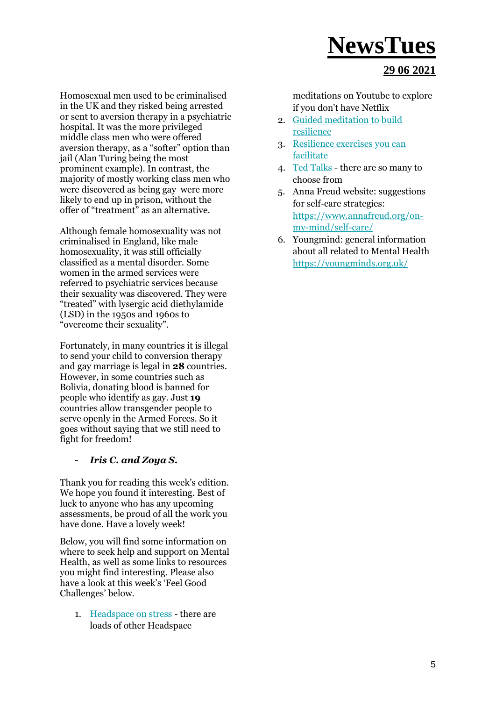#### **29 06 2021**

Homosexual men used to be criminalised in the UK and they risked being arrested or sent to aversion therapy in a psychiatric hospital. It was the more privileged middle class men who were offered aversion therapy, as a "softer" option than jail (Alan Turing being the most prominent example). In contrast, the majority of mostly working class men who were discovered as being gay were more likely to end up in prison, without the offer of "treatment" as an alternative.

Although female homosexuality was not criminalised in England, like male homosexuality, it was still officially classified as a mental disorder. Some women in the armed services were referred to psychiatric services because their sexuality was discovered. They were "treated" with lysergic acid diethylamide (LSD) in the 1950s and 1960s to "overcome their sexuality".

Fortunately, in many countries it is illegal to send your child to conversion therapy and gay marriage is legal in **28** countries. However, in some countries such as Bolivia, donating blood is banned for people who identify as gay. Just **19**  countries allow transgender people to serve openly in the Armed Forces. So it goes without saying that we still need to fight for freedom!

#### - *Iris C. and Zoya S.*

Thank you for reading this week's edition. We hope you found it interesting. Best of luck to anyone who has any upcoming assessments, be proud of all the work you have done. Have a lovely week!

Below, you will find some information on where to seek help and support on Mental Health, as well as some links to resources you might find interesting. Please also have a look at this week's 'Feel Good Challenges' below.

1. [Headspace on stress](https://www.youtube.com/watch?v=sG7DBA-mgFY) - there are loads of other Headspace

meditations on Youtube to explore if you don't have Netflix

- 2. [Guided meditation to build](https://www.mindful.org/allow-the-storm-to-pass-a-guided-meditation-for-resilience/)  [resilience](https://www.mindful.org/allow-the-storm-to-pass-a-guided-meditation-for-resilience/)
- 3. [Resilience exercises you can](http://www.brighterfutureslondon.co.uk/wellbeingtoolkit/resilience/)  [facilitate](http://www.brighterfutureslondon.co.uk/wellbeingtoolkit/resilience/)
- 4. [Ted Talks](https://www.ted.com/talks) there are so many to choose from
- 5. Anna Freud website: suggestions for self-care strategies[:](https://www.annafreud.org/on-my-mind/self-care/) [https://www.annafreud.org/on](https://www.annafreud.org/on-my-mind/self-care/)[my-mind/self-care/](https://www.annafreud.org/on-my-mind/self-care/)
- 6. Youngmind: general information about all related to Mental Health <https://youngminds.org.uk/>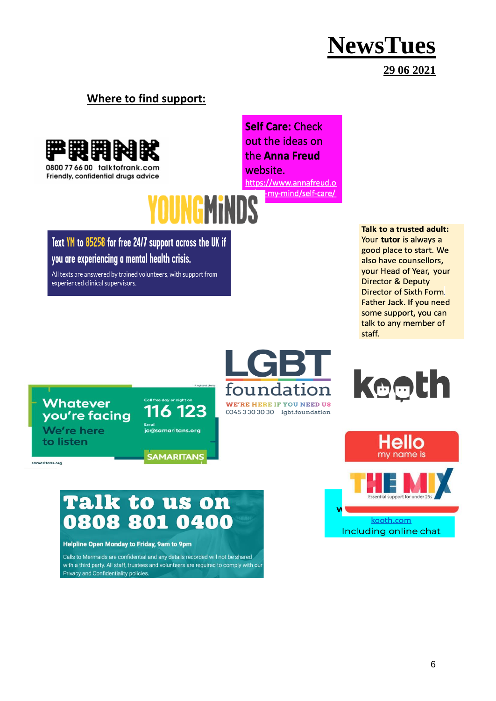#### **29 06 2021**

#### **Where to find support:**



Friendly, confidential druas advice

**Self Care: Check** out the ideas on the Anna Freud website. https://www.annafreud.o -my-mind/self-care/

### **OUNGMINDS** Text YM to 85258 for free 24/7 support across the UK if

#### you are experiencing a mental health crisis.

All texts are answered by trained volunteers, with support from experienced clinical supervisors.

Talk to a trusted adult: Your tutor is always a good place to start. We also have counsellors, vour Head of Year, your **Director & Deputy** Director of Sixth Form. Father Jack. If you need some support, you can talk to any member of staff.

#### **Whatever** you're facing We're here

to listen

samaritans.org







### Talk to us on 0808 801 0400

116 123

<u>........</u><br>jo@samaritans.org

**SAMARITANS** 

#### Helpline Open Monday to Friday, 9am to 9pm

Calls to Mermaids are confidential and any details recorded will not be shared with a third party. All staff, trustees and volunteers are required to comply with our Privacy and Confidentiality policies